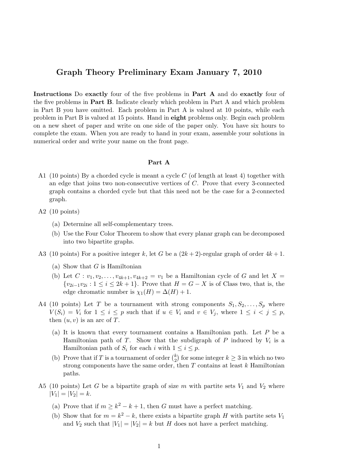## Graph Theory Preliminary Exam January 7, 2010

Instructions Do exactly four of the five problems in Part A and do exactly four of the five problems in Part B. Indicate clearly which problem in Part A and which problem in Part B you have omitted. Each problem in Part A is valued at 10 points, while each problem in Part B is valued at 15 points. Hand in eight problems only. Begin each problem on a new sheet of paper and write on one side of the paper only. You have six hours to complete the exam. When you are ready to hand in your exam, assemble your solutions in numerical order and write your name on the front page.

## Part A

- A1 (10 points) By a chorded cycle is meant a cycle  $C$  (of length at least 4) together with an edge that joins two non-consecutive vertices of C. Prove that every 3-connected graph contains a chorded cycle but that this need not be the case for a 2-connected graph.
- A2 (10 points)
	- (a) Determine all self-complementary trees.
	- (b) Use the Four Color Theorem to show that every planar graph can be decomposed into two bipartite graphs.
- A3 (10 points) For a positive integer k, let G be a  $(2k+2)$ -regular graph of order  $4k+1$ .
	- (a) Show that  $G$  is Hamiltonian
	- (b) Let  $C: v_1, v_2, \ldots, v_{4k+1}, v_{4k+2} = v_1$  be a Hamiltonian cycle of G and let  $X =$  $\{v_{2i-1}v_{2i}: 1 \leq i \leq 2k+1\}$ . Prove that  $H = G - X$  is of Class two, that is, the edge chromatic number is  $\chi_1(H) = \Delta(H) + 1$ .
- A4 (10 points) Let T be a tournament with strong components  $S_1, S_2, \ldots, S_p$  where  $V(S_i) = V_i$  for  $1 \leq i \leq p$  such that if  $u \in V_i$  and  $v \in V_j$ , where  $1 \leq i \leq j \leq p$ , then  $(u, v)$  is an arc of T.
	- (a) It is known that every tournament contains a Hamiltonian path. Let P be a Hamiltonian path of T. Show that the subdigraph of P induced by  $V_i$  is a Hamiltonian path of  $S_i$  for each i with  $1 \leq i \leq p$ .
	- (b) Prove that if T is a tournament of order  $\binom{k}{2}$  $\binom{k}{2}$  for some integer  $k \geq 3$  in which no two strong components have the same order, then  $T$  contains at least  $k$  Hamiltonian paths.
- A5 (10 points) Let G be a bipartite graph of size m with partite sets  $V_1$  and  $V_2$  where  $|V_1| = |V_2| = k.$ 
	- (a) Prove that if  $m \geq k^2 k + 1$ , then G must have a perfect matching.
	- (b) Show that for  $m = k^2 k$ , there exists a bipartite graph H with partite sets  $V_1$ and  $V_2$  such that  $|V_1| = |V_2| = k$  but H does not have a perfect matching.